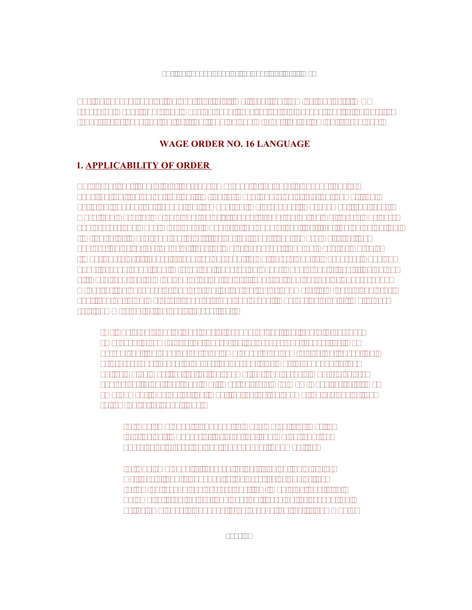For the convenience of the public at this time, resulting from actions of the WC regarding wages, hours and working conditions for certain occupations in the on-site industries of construction, drilling, logging and mining, the following is provided:

### **WAGE ORDER NO. 16 LANGUAGE**

### **1. APPLICABILITY OF ORDER**

This order shall apply to all persons employed in the on-site occupations of construction, including, but not limited to, work involving alteration, demolition, building, excavating, renovation, remodeling, maintenance, improvement, and repair work, and work for which a contractor's license is required by the California Business and Professions Code Division 3, Chapter 9, §§ 7025 et seq.; drilling, including but not limited to, all work required to drill, establish, repair, and rework wells for the exploration or extraction of oil, gas, or water resources; logging work for which a timber operator's license is required pursuant to California Public Resources Code §§ 4571 through 4586; and, mining (not covered by Labor Code § 750 et seq.), including all work required to mine and/or establish pits, quarries, and surface or underground mines for the purposes of exploration, or extraction of nonmetallic minerals and ores, coal, and building materials such as stone and gravel, whether paid on a time, piece rate, commission, or the basis, except that:

(A) The provisions of Sections 3 through 12 shall not apply to persons employed in administrative, executive, or professional capacities. No person shall be considered to be employed in an administrative, executive, or professional capacity unless the person is primarily engaged in the duties which meet the test of the exemption, and earns a monthly salary equivalent to not less than two times the state minimum wage for full-time employment. The duties that meet the test of the exemption are one of the following set of conditions:

(1) The employee is engaged in work which is primarily intellectual, managerial, or creative, and which requires exercise of discretion and independent judgment, or

(2) The employee is licensed, or certified by the State of California, and is engaged in the practice of one of the following recognized professions: law, medicine, dentistry, optometry, architecture, engineering, teaching, or accounting, or the employee is engaged in an occupation that is commonly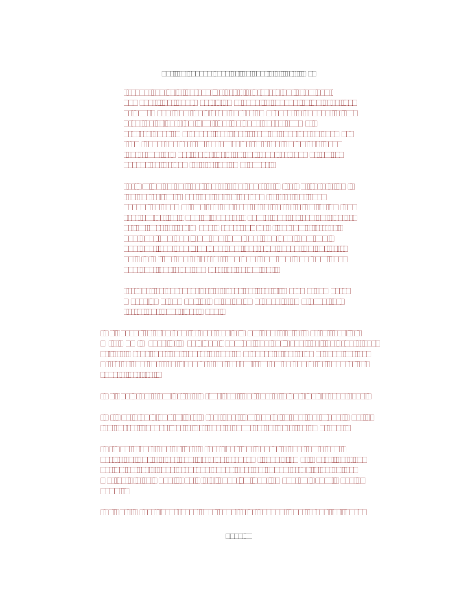recognized as a learned, or artistic profession; provided, however, that pharmacists employed to engage in the practice of pharmacy, and registered nurses employed to engage in the practice of nursing, shall not be considered exempt professional employees, nor shall they be considered exempt from coverage for the purposes of this section unless they individually meet the criteria established for exemption as executive, or administrative employees.

(3) To the extent that there is no conflict with California law, the duties that meet the test of the administrative, and executive exemptions are defined as set forth in the following sections of the Code of Federal Regulations as they existed as of the date of this Wage Order:  $29C.F.R. § § 541.1 (a)-(c)$ , 541.102, 541.104, 541.105, 541.106, 541.108, 541.109, 541.111, 541.115, and 541.116 (defining executive duties); 29 C.F.R. §§ 541.2 (a)-(c), 541.201, 541.205, 541.208, and 541.210 (defining administrative duties).

(4) For the purposes of this section, "full-time employment" means employment in which an employee is employed for forty (40) hours per week.

(B) Except as provided in Sections 1, Applicability, 2, Definitions, 4, Minimum Wages, 9, Meals and Lodging, and 18, Penalties, the provisions of this Order shall not apply to any employees directly employed by the State or any political subdivision thereof, including any city, county, or special district.

(C) The provisions of this Order shall not apply to outside salespersons.

(D) The provisions of this Order shall not apply to any individual who is the parent, spouse, child, or legally adopted child of the employer.

(E) The provisions of this Order shall not apply to any individual participating in a national service program, such as AmeriCorps, carried out using assistance provided under Section 12571 of Title 42 of the United States Code. (See Stats. 2000, ch. 365, amending Labor Code § 1171.)

(F) This Order supersedes any industry or occupational order for those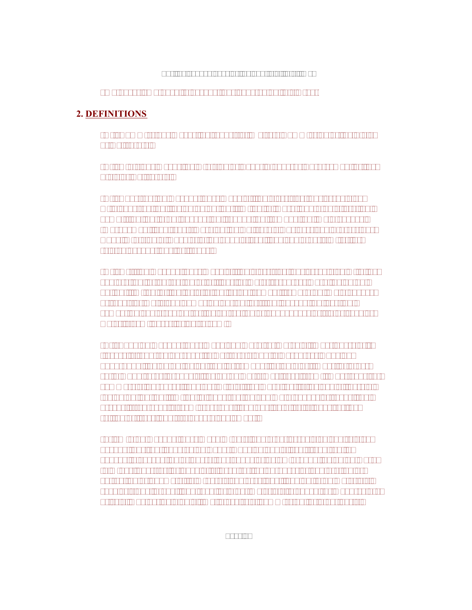employees employed in occupations covered by this Order.

## **2. DEFINITIONS**

(A) "Commission" means the Industrial Welfare Commission of the State of California.

(B) "Division" means the Division of Labor Standards Enforcement of the State of California.

(C) "Construction Occupations" mean all job classifications associated with construction, including but not limited to, work involving alteration, demolition, building, excavation, renovation, remodeling, maintenance, improvement, and repair work by the California Business and Professions Code, Division 3, Chapter 9, §§ 7025 et seq., and any other similar, or related occupations, or trades.

(D) "Drilling Occupations" mean all job classifications associated with the exploration, or extraction of oil, gas, or water resources work including, but not limited to, the installation, establishment, reworking, maintenance or repair of wells and pumps by boring, drilling, excavating, casting, cementing and cleaning for the extraction or conveyance of fluids such as water, steam, gases, or petroleum.

(E) "Logging Occupations" mean any work for which a timber operator's license is required pursuant to California Public Resources Code §§ 4571-4586, including the cutting, or removal, or both of timber, or other solid wood forest products, including Christmas trees, from timberlands for commercial purposes, together with all the work that is incidental thereto, including, but not limited to, construction and maintenance of roads, fuel breaks, firebreaks, stream crossings, landings, skid trails, beds for the falling of trees, and fire hazard abatement.

(F) "Mining Occupations" mean miners, and other associated and related occupations (not covered by Labor Code §§ 750 et seq.) required to engage in excavation or operations above or below ground including work in mines, quarries, or open pits, used for the purposes of exploration or extraction of nonmetallic minerals and ores, coal, and building materials, such as stone, gravel, and rock, or other materials intended for manufacture or sale, whether paid on a time, piece rate, commission, or other basis.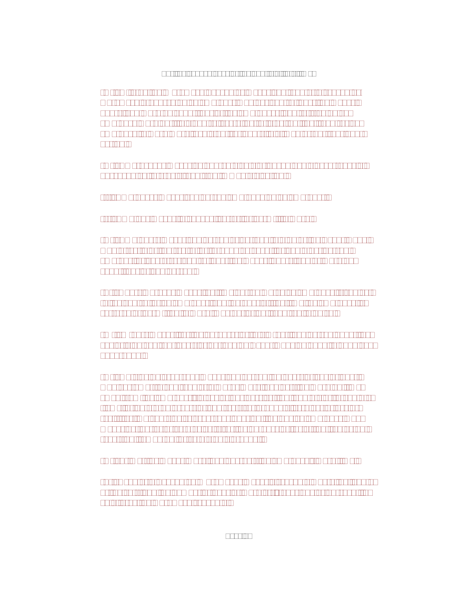(G) "Alternative Workweek Schedule" means any regularly scheduled workweek proposed by an employer who has control over the wages, hours, and working conditions of the employees, and ratified by an employee work unit in a neutral secret ballot election, that requires an employee to work more than eight (8) hours in a twenty-four (24) hour period.

(H) "Emergency" means an unpredictable or unavoidable occurrence at unscheduled intervals requiring immediate action.

(I) "Employee" means any person employed by an employer.

(J) "Employ" means to engage, suffer, or permit to work.

(K) "Employer" means any person as defined in § 18 of the Labor Code, who directly or indirectly, or through an agent, or any other person, employs, or exercises control over the wages, hours, and/or working conditions of any person.

(L) "Hours worked" means the time during which an employee is subject to the control of an employer, and includes all the time the employee is suffered or permitted to work, whether or not required to do so.

(M) "Minor" means, for the purposes of this Order, any person under the age of eighteen (18) years as defined by Labor Code §§ 1285 to 1312 and 1390-1399.

(N) "Outside Salesperson" means any person, 18 years of age or over, who customarily and regularly works more than half the working time away from the employer's place of business selling tangible or intangible items, or obtaining orders or contracts for products, services or use of facilities. An "outside salesperson" does not include an employee who makes deliveries or service calls for the purpose of installing, replacing, repairing, removing, or servicing a product.

(O) "Primarily" means more than one-half the employee's work time.

(P) "Regularly Scheduled Workweek" means a schedule where the length of the shift and the number of days of work are predesignated pursuant to an alternative workweek schedule.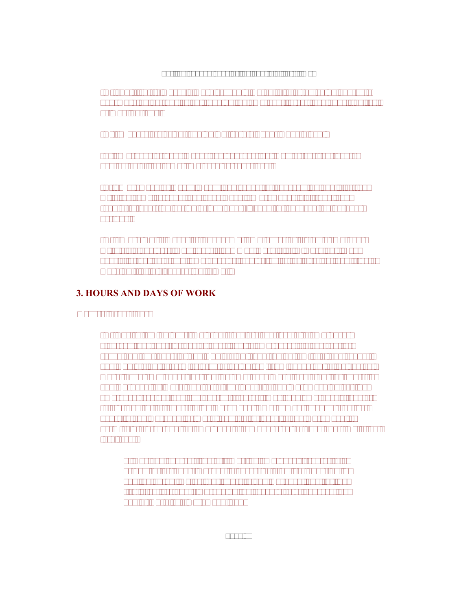(Q) "Split shift" means a work schedule which is interrupted by non-paid non-working periods established by the employer, other than bona fide rest or meal periods.

(R) "Wages" are as defined by California Labor Code § 200.

(S) "Workday or day" means any consecutive twenty-four (24) hours beginning at the same time each calendar day.

(T) "Workweek or week" means any seven (7) consecutive day, starting with the same calendar day each week. "Workweek" is a fixed, and regularly recurring period of 168 hours, seven (7) consecutive 24-hour periods.

(U) "Work Unit" means all nonexempt employees of a single employer within a given craft who share a common work site. A work unit may consist of an individual employee as long as the criteria for an identifiable work unit in this subsection is met.

### **3. HOURS AND DAYS OF WORK**

General Provisions

(A) The following overtime provisions are applicable to employees eighteen (18) years of age or over, and to employees sixteen (16) or seventeen (17) years of age who are not required by law to attend school, and who are not otherwise prohibited by law from engaging in the subject work. Such employees shall not be employed more than eight (8) hours in any workday, or more than forty (40) hours in any workweek unless the employee receives one and one-half (11/2) times such employee's regular rate of pay for all hours in the workweek. Employment beyond eight (8) hours in any workday, or more than six (6) days in any workweek is permissible provided the employee is compensated for such overtime at not less than:

1. One and one-half (11/2) times the employee's regular rate of pay for all hours worked in excess of eight (8) hours up to and including twelve (12) hours in any workday, and for the first eight (8) hours worked on the seventh (7th) consecutive day of work in a workweek; and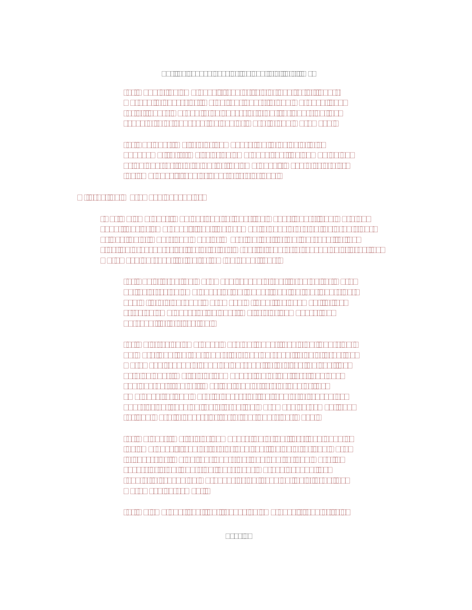(2) Double the employee's regular rate of pay for all hours worked in excess of twelve (12) hours in any workday, and for all hours worked in an excess of eight (8) hours on the seventh (7th) consecutive day of work in any workweek.

(3) The overtime rate of compensation to be paid to a nonexempt full-time salaried employee shall be computed by using one-fortieth (1/40) of the employee's weekly salary as the employee's regular hourly rate of pay.

#### Alternative Workweek Schedules

(B1) No employer, who has control over the wages, hours, and working conditions of employee's, shall be deemed to have violated the provisions of Section 3, Hours and Days of Work, by instituting, pursuant to the election procedures set forth in this Order, a regularly scheduled alternative workweek pursuant to the following conditions:

(1) The alternative workweek schedule shall provide for work by the affected employees of no longer than ten (10) hours per day within a 40-hour workweek without the payment to the affected employees of an overtime rate of compensation pursuant to this section.

(2) An affected employee working longer than eight hours but no more than ten (10) hours in a day pursuant to an alternative workweek schedule adopted pursuant to this section shall be paid an overtime rate of compensation of not less than one and one-half (11/2) times the regular rate of pay of the employee for any work in excess of the regularly scheduled hours established by the alternative workweek agreement and for any work in excess of forty (40) hours per week.

(3) An overtime rate of compensation of not less than double the employee's regular rate of pay shall be paid for any work in excess of twelve (12) hours per day and for any work in excess of eight hours on those days worked beyond the regularly scheduled workdays established by the alternative workweek agreement.

(4) An employer shall not reduce an employee's regular rate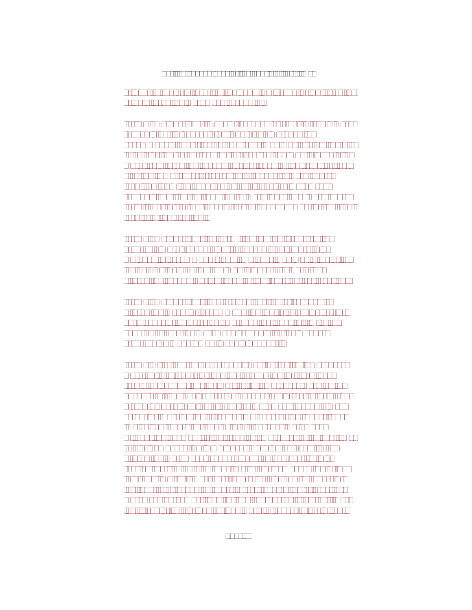of hourly pay as a result of the adoption, repeal or nullification of an alternative workweek schedule.

(5) An employer shall make a reasonable effort to find a work schedule not to exceed eight hours in a workday to accommodate any effected employee who was eligible to vote in an election authorized by this section and who is unable to work the alternative schedule established as the result of that election. Employees affected by a change in work hours resulting from the adoption of an alternative workweek schedule shall not be required to work those new work hours for at least thirty (30) days after the announcement of the final results of the election.

(6) An employer shall be permitted, but not required, to provide a work schedule not to exceed eight hours in a workday to accommodate any employee who was hired after the date of the election and who is unable to work the alternative schedule established as the result of that election.

(7) An employer shall explore any available reasonable alternative means of accommodating the religious beliefs or observance of an affected employee that conflicts with an adopted alternative workweek schedule, in the manner provided by Government Code § 12940(j).

(8) Notwithstanding paragraphs (B1) (1)-(3), for employees working in offshore oil and gas production, drilling, and servicing occupations, as well as for employees working in onshore oil and gas separation occupations directly servicing offshore operations, an alternative workweek schedule may authorize work by the affected employees of no longer than twelve (12) hours per day within a 40-hour workweek without the payment to the affected employees of an overtime rate of compensation. Employees working pursuant to an alternative workweek schedule adopted pursuant to this section shall be paid an overtime rate of compensation of no less than two (2) times their regular rate of pay in excess of the regularly scheduled hours established by the alternative workweek agreement, and for one and one-half (1 1/2) times their regular rate of pay for any work in excess of forty (40)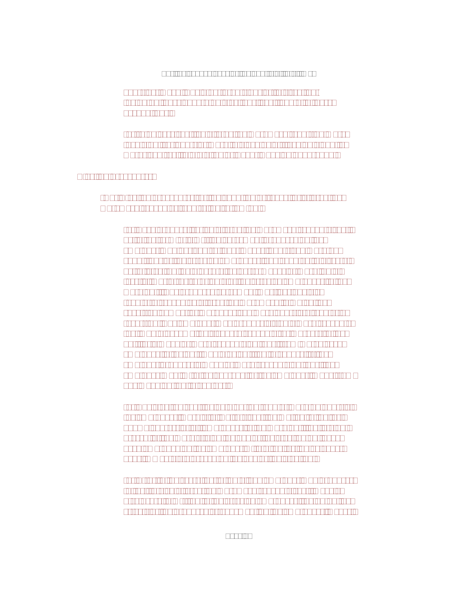hours per week. The other provisions of this section, including those governing elections, shall apply to these occupations.

(9) In no case shall an alternative workweek requiring more than eight (8) hours of work in a day be utilized on a public works contract in violation of Labor Code §§ 1810-1815.

#### Election Procedures

(B2) Election procedures for the adoption or repeal of alternative workweek schedules require the following:

(1) Each proposal for an alternative workweek schedule shall be in the form of a written agreement proposed by the employer who has control over wages, hours and working conditions of the affected employees, and adopted in a secret ballot election, held before the performance of work, by at least a two-thirds (2/3) vote of the affected employees in the work unit. The proposed agreement must designate a regularly scheduled alternative workweek in which the specified number of workdays and work hours are regularly recurring. The employer may propose a single work schedule that would become the standard schedule for workers in the unit, or a menu of work schedule options, from which each employee in the unit would be entitled to choose. If the employer proposes a menu of work schedule options, the employee may, with the approval of the employer, move from one menu option to another.

(2) The election shall be held during regular working hours at the employees' work site. Ballots shall be mailed to the last known address of all employees in the work unit that are not present at the work site on the day of the election but have been employed by the employer within the last 30 calendar days immediately preceding the day of the election.

(3) Prior to the secret ballot vote, any employer who proposes to institute an alternative workweek schedule shall make a disclosure in writing to the affected employees, including the effects of the proposed arrangement on the employees' wages,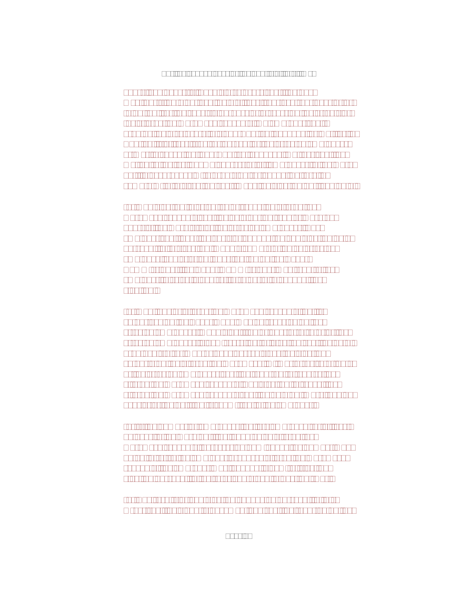hours, and benefits. Such a disclosure shall include meeting(s), duly noticed, held at least fourteen (14) days prior to voting, for the specific purpose of discussing the effects of the alternative workweek schedule. An employer shall provide the disclosure in a non-English language, as well as in English, if at least five (5) percent of the affected employees primarily speak that non-English language. Notices shall be mailed to the last known address of all employees in the work unit in accordance with provision (2) above. Failure to comply with this section shall make the election null and void.

(4) Any election to establish or repeal an alternative workweek schedule shall be held during regular working hours at the work site of the affected employees. The employer shall bear the costs of conducting any election held pursuant to this section. Upon a complaint by an affected employee, and after an investigation by the Labor Commissioner, the Labor Commissioner may require the employer to select a neutral third party to conduct the election.

(5) Any type of alternative workweek schedule that is authorized by the Labor Code may be repealed by the affected employees. Upon a petition of one-third (1/3) of the affected employees, a new secret ballot election shall be held, provided six (6) months have passed since the election authorizing the alternative workweek. A two-thirds (2/3) vote of the affected employees shall be required to reverse the alternative workweek schedule. The election to repeal the alternative workweek schedule shall be held not more than 30 days after the petition is submitted to the employer.

(6) If the number of employees that are employed for at least 30 days in the work unit that adopted an alternative workweek schedule increases by 50% above the number who voted to ratify the employer proposed alternative workweek schedule, the employer must conduct a new ratification election pursuant to the rules contained in Section (B2).

(7) The results of any election conducted pursuant to this Order shall be a public document and shall be reported by the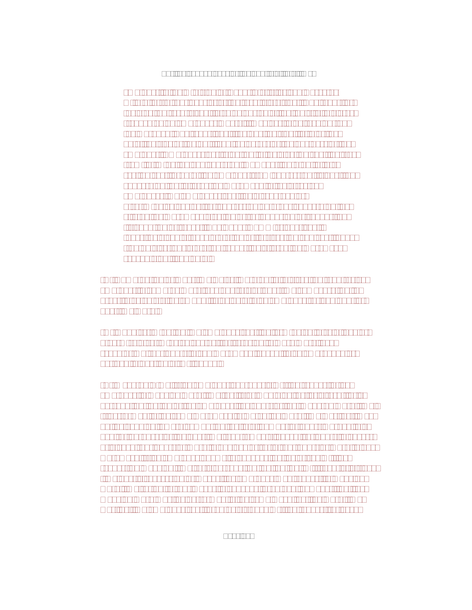employer to the Division of Labor Statistics and Research within thirty (30) days after the results are final. The report of the election results shall also be posted at the job site in a area frequented by employees where it may easily be read during the workday. The report shall include the final tally of the vote, the size of the unit, and the nature of the business of the employer. Employees participating in the election shall be free from intimidation and coercion. However, nothing in this section shall prohibit an employer from expressing its position concerning that alternative workweek to the affected employees. No employees shall be discharged or discriminated against for expressing opinions concerning the alternative workweek election or for opposing or supporting its adoption or repeal. The Labor Commissioner shall investigate any alleged violation of this section and shall upon finding a serious violation render the alternative workweek schedule null and void.

(C) Combination of Overtime Rates. Nothing in this section requires an employer to combine more than one rate of overtime compensation in order to calculate the amount to be paid to an employee for any hour of overtime work.

(D) Nondiscrimination. No employee shall be terminated, disciplined or otherwise discriminated against for refusing to work more than seventy-two (72) hours in any workweek, except in an emergency as defined in Section 2 (H), above.

(E) Make-up Time. If an employer approves a written request of an employee to make up work time that is or would be lost as a result of a personal obligation of the employee, the hours of that make-up work time, if performed in the same workweek in which the work time was lost, may not be counted toward computing the total number of hours worked in a day for purposes of the overtime requirements, except for hours in excess of eleven (11) hours of work in one day or forty (40) hours of work in one workweek. If an employee knows in advance that he or she will be requesting make up time for a personal obligation that will recur at a fixed time over a succession of weeks, the employee may request to make up work time for up to four weeks in advance; provided, however, that the make up work must be performed in the same week that the work time was lost. An employee shall provide a signed written request for each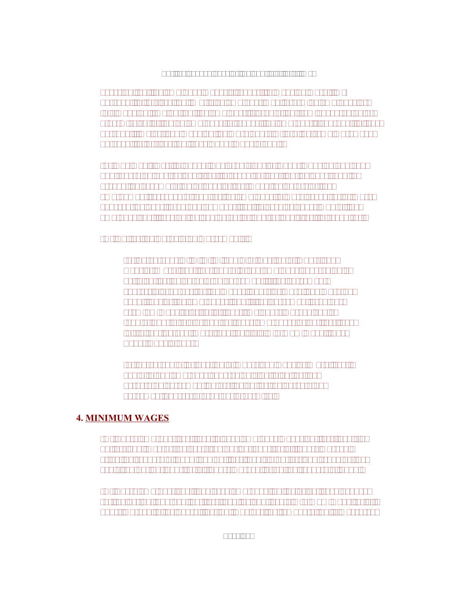occasion that the employee makes a request to make up work time pursuant to this section. While an employer may inform an employee of this make up time option, the employer is prohibited from encouraging or otherwise soliciting an employee to request the employer's approval to take personal time off and make up the work hours within the same workweek pursuant to this section. (See Labor Code § 513.)

(F) One Day's Rest in Seven. The provisions of Labor Code §§ 551 and 552 regarding one (1) day's rest in seven (7) shall not be construed to prevent an accumulation of days of rest when the nature of the employment reasonably requires the employee to work seven (7) or more consecutive days; provided however, that in each calendar month, the employee shall receive the equivalent of one (1) day's rest in seven (7).

(G) Collective Bargaining Agreements.

(1) Paragraphs A, B, C, D, and E of Section 3, Hours and Days of Work, shall not apply to any employee covered by a valid collective bargaining agreement if the agreement expressly provides for the wages, hours of work, and working conditions of the employees, and if the agreement provides premium wage rates for all overtime hours worked and a regular hourly rate of pay for those employees of not less than thirty (30) percent more than the state minimum wage. (See Labor Code  $\S$  514)

(2) Paragraph F, of Section 3, Hours and Days of Work, shall apply to any employee covered by a valid collective bargaining agreement unless the collective bargaining agreement expressly provides otherwise.

### **4. MINIMUM WAGES**

(A) Every employer shall pay to each employee wages not less than six dollars and twenty-five cents (\$6.25) per hour for all hours worked, effective January 1, 2001, and not less than six dollars and seventy-five cents (\$6.75) per hour for all hours worked, effective January 1, 2002.

(B) Every employer shall pay each employee, on the established payday for the period involved, not less than the applicable minimum wage for all hours worked in the payroll period, whether the remuneration is measured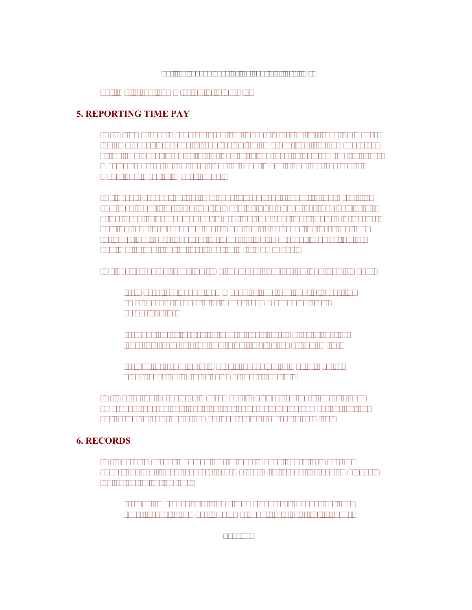by time, piece, commission, or otherwise.

## **5. REPORTING TIME PAY**

(A) All employer-mandated travel that occurs after the first location where the employee's presence is required by the employer shall be compensated at the employee's regular rate of pay or, if applicable, the premium rate that may be required by the provisions of Labor Code § 510 and Section 3, Hours and Days of Work, above.

(B) Each workday that an employee is required to report to the work site and does report, but is not put to work, or is furnished less than half of his or her usual or scheduled day's work, the employer shall pay him or her for half the usual or scheduled day's work, but in no event for less than two (2) hours nor more than four (4) hours at the employee's regular rate of pay, which shall not be less than the minimum wage.

(C) The foregoing reporting time pay provisions are not applicable when:

(1) Operations cannot commence or continue due to threats to employees or property, or when recommended by civil authorities; or

(2) Public utilities fail to supply electricity, water, or gas, or there is a failure in the public utilities, or sewer system; or

(3) The interruption of work is caused by an Act of God or other cause not within the employer's control.

(D) Collective Bargaining Agreements. This section shall apply to any employee covered by a valid collective bargaining agreement unless the collective bargaining agreement expressly provides otherwise.

### **6. RECORDS**

(A) Every employer who has control over wages, hours, or working conditions shall keep accurate information with respect to each employee, including the following:

(1) The employee's full name, home address, occupation, and social security number. The employee's date of birth, if under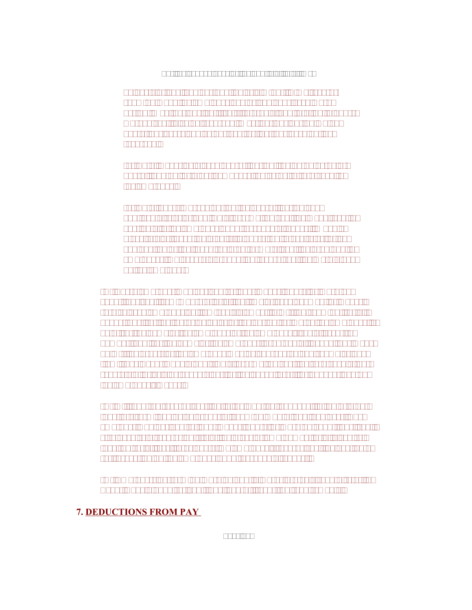18 years of age, and designation as a minor. Time records showing when the employee begins and ends each work period. Meal periods, split shift intervals, and total daily hours worked shall also be recorded. Meal periods during which operations cease and authorized rest periods need not be recorded.

(2) Total wages paid each payroll period, including value of board, lodging, or other compensation actually furnished to the employee.

(3) Total hours worked during the payroll period and applicable rates of pay. This information shall be made readily available to the employee upon reasonable request. When a piece rate or incentive plan is in operation, piece rates, or an explanation of the incentive plan formula, shall be provided to employees. An accurate production record shall be maintained by the employer

(B) Every employer who has control over wages, hours, or working conditions shall semimonthly, or at the time of each payment of wages, furnish each employee an itemized statement in writing showing: (1) all deductions; (2) the inclusive dates of the period for which the employee is paid; (3) the name of the employee or the employee's social security number; and, (4) the name of the employer, provided all deductions made on written orders of the employee may be aggregated and shown as one item. (See Labor Code § 226.) This information shall be furnished either separately, or as a detachable part of the check, draft, or voucher paying the employee's wages.

(C) All required records shall be in the English language, in ink or other indelible form, and dated properly, showing month, day, and year. The employer who has control over wages, hours, or working conditions, shall also keep said records on file at the place of employment or at a central location for at least three years. An employee's records shall be available for inspection by the employee upon reasonable request.

(D) Employers performing work on public works projects should refer to Labor Code § 1776 for additional payroll reporting requirements.

### **7. DEDUCTIONS FROM PAY**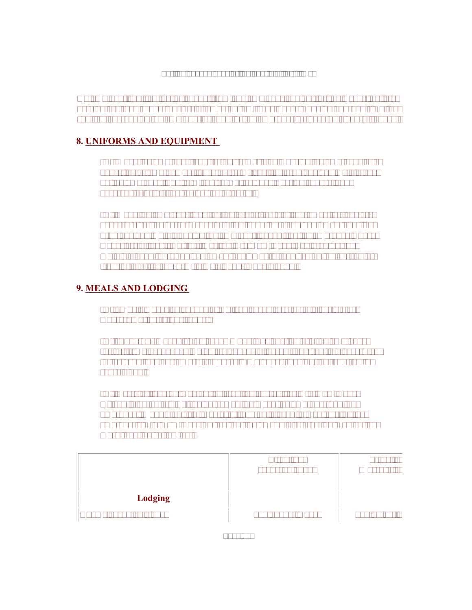No employer shall collect or deduct from any employee any part of the wages that are paid unless such deductions are allowed by law. (See Labor Code §§ 220-226.) No fee shall be charged by the employer or agent of the employer for cashing a payroll check.

## **8. UNIFORMS AND EQUIPMENT**

(A) When the employer requires uniforms to be worn by the employee as a condition of employment, such uniforms shall be provided and maintained by the employer. The term "uniform" includes wearing apparel and accessories of distinctive design or color.

(B) When the employer requires the use of tools or equipment or they are necessary for the performance of a job, such tools and equipment shall be provided and maintained by the employer, except that an employee whose wages are at least two (2) times the minimum wage may provide and maintain hand tools and equipment customarily required by the particular trade or craft in conformity with Labor Code § 2802.

# **9. MEALS AND LODGING**

(A) "Meal" means an adequate, well-balanced serving of a variety of wholesome, nutritious foods.

(B) "Lodging" means living accommodations available to the employee for full-time occupancy which are adequate, decent, and sanitary according to the usual and customary standards. Employees shall not be required to share a bed.

(C) Meals or lodging may not be credited against the minimum wage without a voluntary written agreement between the employer and the employee. When credit for meals, or lodging is used to meet part of the employer's minimum wage obligation, the amounts so credited may not be more than the following:

|                      | Effective<br>January 1, 1998 | Effective<br><b>March 1, 19</b> |
|----------------------|------------------------------|---------------------------------|
| Lodging              |                              |                                 |
| Rooms occupied alone | $$29.40$ per week            | $$31.75$ per w                  |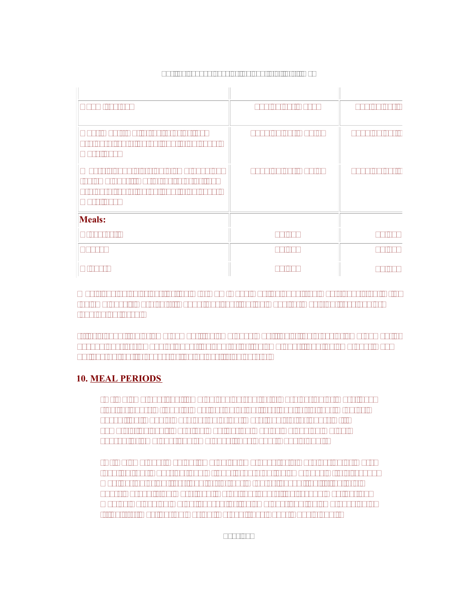| $$26.20$ per w<br>$$381.20$ per m |
|-----------------------------------|
|                                   |
|                                   |
| \$563.90 per m                    |
|                                   |
| \$2.45                            |
| \$3.35                            |
| \$4.50                            |
|                                   |

Meals evaluated as part of the minimum wage must be bona fide meals consistent with the employee's work shift. Deductions shall not be made for meals not received or lodging not used.

If, as a condition of employment, the employee must live at the place of employment or occupy quarters owned or under the control of the employer, then the employer may not charge rent in excess of the values listed herein.

## **10. MEAL PERIODS**

(A) No employer shall employ any person for a work period of more than five (5) hours without a meal period of not less than thirty (30) minutes, except that when a work period of not more than six (6) hours will complete the day's work the meal period may be waived by mutual consent of employer and employee. (See Labor Code § 512.)

(B) An employer may not employ an employee for a work period of more than ten (10) Hours per day without providing the employee with a second meal period of not less than thirty (30) minutes, except that if the total hours worked is no more than twelve (12) hours, the second meal period may be waived by mutual consent of the employer and the employee only if the first meal period was not waived. (See Labor Code § 512.)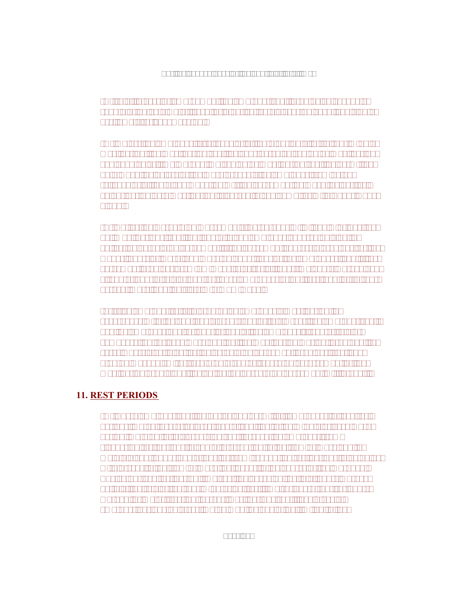(C) In all places of employment the employer shall provide an adequate supply of potable water, soap, or other suitable cleansing agent and single use towels for handwashing.

(D) Unless the employee is relieved of all duty during a thirty (30) minute meal period, the meal period shall be considered an "on duty" meal period and counted as time worked. An "on duty" meal period shall be permitted only when the nature of the work prevents the employee from being relieved of all duty and when, by written agreement between the parties, an on-the-job paid meal period is agreed to and complies with Labor Code § 512.

(E) Collective Bargaining Agreements. Paragraphs A, B, and D of Section 10, Meal Periods, shall not apply to any employee covered by a valid collective bargaining agreement if the agreement expressly provides for the wages, hours of work, and working conditions of the employees, and if the agreement provides premium wage rates for all overtime hours worked and a regular hourly rate of pay for those employees of not less than thirty (30) percent more than the state minimum wage.

(F) If an employer fails to provide an employee a meal period in accordance with the applicable provisions of this Order, the employer shall pay the employee one (1) hour of pay at the employee's regular rate of compensation for each work day that the meal period was not provided. In cases where a valid collective bargaining agreement provides final and binding mechanism for resolving disputes regarding enforcement of the meal period provisions, the collective bargaining agreement will prevail.

### **11. REST PERIODS**

(A) Every employer shall authorize and permit all employees to take rest periods, which insofar as practicable, shall be in the middle of each work period. Nothing in this provision shall prevent an employer from staggering rest periods to avoid interruption in the flow of work and to maintain continuous operations, or from scheduling rest periods to coincide with breaks in the flow of work that occur in the course of the workday. The authorized rest period time shall be based on the total hours worked daily at the rate of ten (10) minutes net rest time for every four (4) hours worked, or major fraction thereof. Rest periods shall take place at employer designated areas, which may include or be limited to the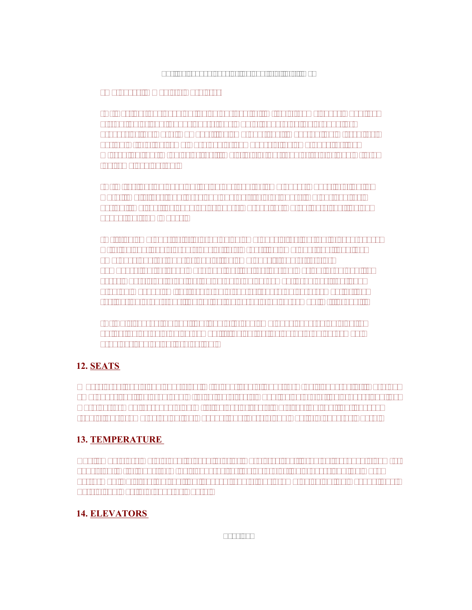employees immediate work area.

(B) Rest periods need not be authorized in limited circumstances when the disruption of continuous operations would jeopardize the product or process of the work. However, the employer shall make-up the missed rest period within the same work day or compensate the employee for the missed ten (10) minutes of rest time at his or her regular rate of pay within the same pay period.

(C) A rest period need not be authorized for employees whose total daily work time is less than three and one-half (3 1/2) hours. Authorized rest period time shall be counted as hours worked for which there shall be no deduction from wages.

(D) If an employer fails to provide an employee a rest period in accordance with the applicable provisions of this Order, the employer shall pay the employee one (1) hour of pay at the employee's regular rate of compensation for each work day that the rest period was not provided. In cases where a valid collective bargaining agreement provides final and binding mechanism for resolving disputes regarding enforcement of the rest period provisions, the collective bargaining agreement will prevail.

(E) This subsection shall not apply to any employee covered by a valid collective bargaining agreement if the collective bargaining agreement provides equivalent protection.

## **12. SEATS**

Where practicable and consistent with applicable industry-wide standards, all working employees shall be provided with suitable seats when the nature of the process and the work performed reasonably permits the use of seats. This section shall not exceed regulations promulgated by the Occupational Safety and Health Standards Board.

## **13. TEMPERATURE**

The temperature maintained in each interior work area shall provide reasonable comfort consistent with industry-wide standards for the nature of the process and the work performed. This section shall not exceed regulations promulgated by the Occupational Safety and Health Standards Board.

## **14. ELEVATORS**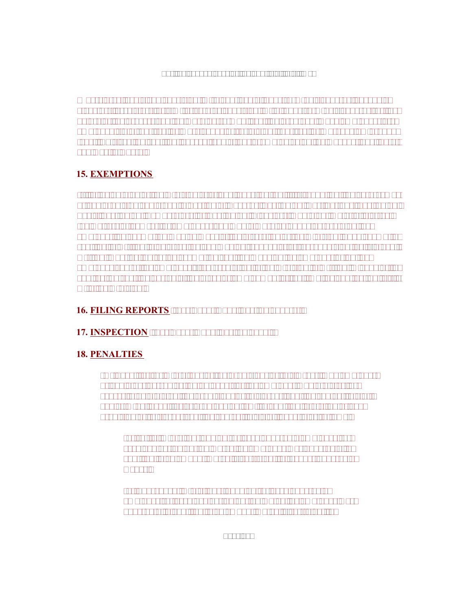Where practicable and consistent with applicable industry-wide standards, adequate elevators, escalators, or similar service consistent with industry-wide standards for the nature of the process and the work performed, shall be provided, when employees are employed sixty (60) feet or more above or forty eight (48) feet or more below ground level. This section shall not exceed regulations promulgated by the Occupational Safety and Health Board.

# **15. EXEMPTIONS**

If, in the opinion of the Division after due investigation, it is found that the enforcement of any provision contained in Section 6, Records, Section 11, Rest Periods, Section 12, Seats, Section 13, Temperature, or Section 14, Elevators, would not materially affect the welfare or comfort of employees and would work an undue hardship on the employer, an exemption may be made at the discretion of the Division. Such exemption shall be in writing to be effective and may be revoked after reasonable notice is given in writing. Application for an exemption shall be made by the employer or by the employee and/or the employee's representative to the Division in writing. A copy of the application shall be posted at the place of employment at the time the application is filed with the Division.

**16. FILING REPORTS** (See Labor Code, Section 1174(a).

**17. INSPECTION** (See Labor Code, Section 1174.)

# **18. PENALTIES**

(A) Penalties for Violations of the Provisions of this Order. Any employer or any other person acting on behalf of the employer who violates, or causes to be violated, the provisions of this order, shall be subject to civil and criminal penalties as provided by law. In addition, violation of any provision of this order shall be subject to a civil penalty as follows:

(1) Initial Violation- \$50.00 for each underpaid employee for each pay period during which the employee was underpaid in addition to an amount which is sufficient to recover underpaid wages.

(2) Subsequent Violations- \$100.00 for each underpaid employee for each pay period during which the employee was underpaid in addition to an amount which is sufficient to